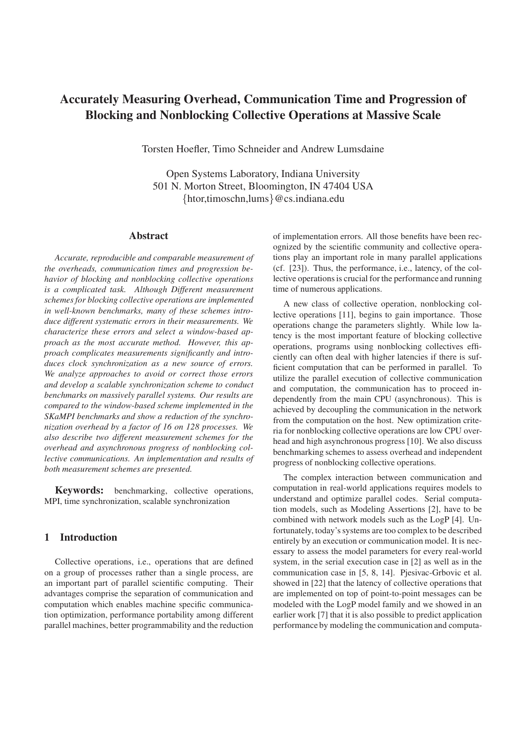# **Accurately Measuring Overhead, Communication Time and Progression of Blocking and Nonblocking Collective Operations at Massive Scale**

Torsten Hoefler, Timo Schneider and Andrew Lumsdaine

Open Systems Laboratory, Indiana University 501 N. Morton Street, Bloomington, IN 47404 USA {htor,timoschn,lums}@cs.indiana.edu

#### **Abstract**

*Accurate, reproducible and comparable measurement of the overheads, communication times and progression behavior of blocking and nonblocking collective operations is a complicated task. Although Different measurement schemes for blocking collective operations are implemented in well-known benchmarks, many of these schemes introduce different systematic errors in their measurements. We characterize these errors and select a window-based approach as the most accurate method. However, this approach complicates measurements significantly and introduces clock synchronization as a new source of errors. We analyze approaches to avoid or correct those errors and develop a scalable synchronization scheme to conduct benchmarks on massively parallel systems. Our results are compared to the window-based scheme implemented in the SKaMPI benchmarks and show a reduction of the synchronization overhead by a factor of 16 on 128 processes. We also describe two different measurement schemes for the overhead and asynchronous progress of nonblocking collective communications. An implementation and results of both measurement schemes are presented.*

**Keywords:** benchmarking, collective operations, MPI, time synchronization, scalable synchronization

# **1 Introduction**

Collective operations, i.e., operations that are defined on a group of processes rather than a single process, are an important part of parallel scientific computing. Their advantages comprise the separation of communication and computation which enables machine specific communication optimization, performance portability among different parallel machines, better programmability and the reduction of implementation errors. All those benefits have been recognized by the scientific community and collective operations play an important role in many parallel applications (cf. [23]). Thus, the performance, i.e., latency, of the collective operations is crucial for the performance and running time of numerous applications.

A new class of collective operation, nonblocking collective operations [11], begins to gain importance. Those operations change the parameters slightly. While low latency is the most important feature of blocking collective operations, programs using nonblocking collectives efficiently can often deal with higher latencies if there is sufficient computation that can be performed in parallel. To utilize the parallel execution of collective communication and computation, the communication has to proceed independently from the main CPU (asynchronous). This is achieved by decoupling the communication in the network from the computation on the host. New optimization criteria for nonblocking collective operations are low CPU overhead and high asynchronous progress [10]. We also discuss benchmarking schemes to assess overhead and independent progress of nonblocking collective operations.

The complex interaction between communication and computation in real-world applications requires models to understand and optimize parallel codes. Serial computation models, such as Modeling Assertions [2], have to be combined with network models such as the LogP [4]. Unfortunately, today's systems are too complex to be described entirely by an execution or communication model. It is necessary to assess the model parameters for every real-world system, in the serial execution case in [2] as well as in the communication case in [5, 8, 14]. Pjesivac-Grbovic et al. showed in [22] that the latency of collective operations that are implemented on top of point-to-point messages can be modeled with the LogP model family and we showed in an earlier work [7] that it is also possible to predict application performance by modeling the communication and computa-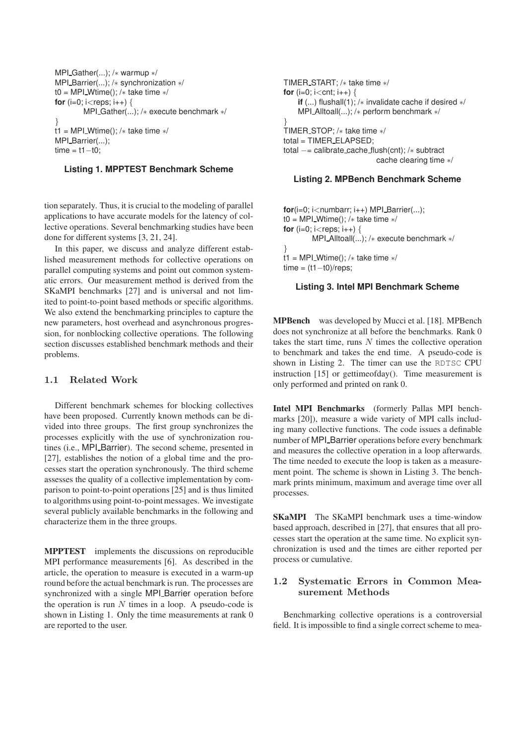```
MPI Gather(...); /∗ warmup ∗/
MPI Barrier(...); /∗ synchronization ∗/
t0 = MPI_Wtime(); /* take time */
for (i=0; i<reps; i++) {
        MPI_Gather(...); /* execute benchmark */
}
t1 = MPI_Wtime(); /* take time */
MPI_Barrier(...);
time = t1-t0;
```
#### **Listing 1. MPPTEST Benchmark Scheme**

tion separately. Thus, it is crucial to the modeling of parallel applications to have accurate models for the latency of collective operations. Several benchmarking studies have been done for different systems [3, 21, 24].

In this paper, we discuss and analyze different established measurement methods for collective operations on parallel computing systems and point out common systematic errors. Our measurement method is derived from the SKaMPI benchmarks [27] and is universal and not limited to point-to-point based methods or specific algorithms. We also extend the benchmarking principles to capture the new parameters, host overhead and asynchronous progression, for nonblocking collective operations. The following section discusses established benchmark methods and their problems.

#### 1.1 Related Work

Different benchmark schemes for blocking collectives have been proposed. Currently known methods can be divided into three groups. The first group synchronizes the processes explicitly with the use of synchronization routines (i.e., MPI\_Barrier). The second scheme, presented in [27], establishes the notion of a global time and the processes start the operation synchronously. The third scheme assesses the quality of a collective implementation by comparison to point-to-point operations [25] and is thus limited to algorithms using point-to-point messages. We investigate several publicly available benchmarks in the following and characterize them in the three groups.

**MPPTEST** implements the discussions on reproducible MPI performance measurements [6]. As described in the article, the operation to measure is executed in a warm-up round before the actual benchmark is run. The processes are synchronized with a single MPI Barrier operation before the operation is run  $N$  times in a loop. A pseudo-code is shown in Listing 1. Only the time measurements at rank 0 are reported to the user.

```
TIMER START; /∗ take time ∗/
for (i=0; i <cnt; i++) {
    if (...) flushall(1); /∗ invalidate cache if desired ∗/
    MPI Alltoall(...); /∗ perform benchmark ∗/
}
TIMER STOP; /∗ take time ∗/
total = TIMER ELAPSED;
total −= calibrate cache flush(cnt); /∗ subtract
                           cache clearing time ∗/
```
#### **Listing 2. MPBench Benchmark Scheme**

**for**( $i=0$ ;  $i$ <numbarr;  $i++$ ) MPI Barrier(...); t0 = MPI\_Wtime(); / $*$  take time  $*$ / **for** ( $i=0$ ;  $i<$ reps;  $i++$ ) { MPI Alltoall(...); /∗ execute benchmark ∗/ } t1 = MPI\_Wtime(); / $*$  take time  $*$ /  $time = (t1-t0)/reps$ :

#### **Listing 3. Intel MPI Benchmark Scheme**

**MPBench** was developed by Mucci et al. [18]. MPBench does not synchronize at all before the benchmarks. Rank 0 takes the start time, runs  $N$  times the collective operation to benchmark and takes the end time. A pseudo-code is shown in Listing 2. The timer can use the RDTSC CPU instruction [15] or gettimeofday(). Time measurement is only performed and printed on rank 0.

**Intel MPI Benchmarks** (formerly Pallas MPI benchmarks [20]), measure a wide variety of MPI calls including many collective functions. The code issues a definable number of MPI\_Barrier operations before every benchmark and measures the collective operation in a loop afterwards. The time needed to execute the loop is taken as a measurement point. The scheme is shown in Listing 3. The benchmark prints minimum, maximum and average time over all processes.

**SKaMPI** The SKaMPI benchmark uses a time-window based approach, described in [27], that ensures that all processes start the operation at the same time. No explicit synchronization is used and the times are either reported per process or cumulative.

#### 1.2 Systematic Errors in Common Measurement Methods

Benchmarking collective operations is a controversial field. It is impossible to find a single correct scheme to mea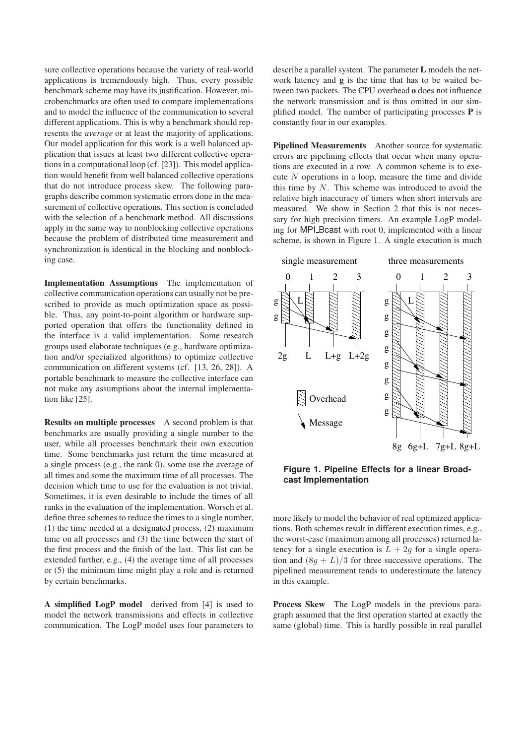sure collective operations because the variety of real-world applications is tremendously high. Thus, every possible benchmark scheme may have its justification. However, microbenchmarks are often used to compare implementations and to model the influence of the communication to several different applications. This is why a benchmark should represents the *average* or at least the majority of applications. Our model application for this work is a well balanced application that issues at least two different collective operations in a computational loop (cf. [23]). This model application would benefit from well balanced collective operations that do not introduce process skew. The following paragraphs describe common systematic errors done in the measurement of collective operations. This section is concluded with the selection of a benchmark method. All discussions apply in the same way to nonblocking collective operations because the problem of distributed time measurement and synchronization is identical in the blocking and nonblocking case.

**Implementation Assumptions** The implementation of collective communication operations can usually not be prescribed to provide as much optimization space as possible. Thus, any point-to-point algorithm or hardware supported operation that offers the functionality defined in the interface is a valid implementation. Some research groups used elaborate techniques (e.g., hardware optimization and/or specialized algorithms) to optimize collective communication on different systems (cf. [13, 26, 28]). A portable benchmark to measure the collective interface can not make any assumptions about the internal implementation like [25].

**Results on multiple processes** A second problem is that benchmarks are usually providing a single number to the user, while all processes benchmark their own execution time. Some benchmarks just return the time measured at a single process (e.g., the rank 0), some use the average of all times and some the maximum time of all processes. The decision which time to use for the evaluation is not trivial. Sometimes, it is even desirable to include the times of all ranks in the evaluation of the implementation. Worsch et al. define three schemes to reduce the times to a single number, (1) the time needed at a designated process, (2) maximum time on all processes and (3) the time between the start of the first process and the finish of the last. This list can be extended further, e.g., (4) the average time of all processes or (5) the minimum time might play a role and is returned by certain benchmarks.

**A simplified LogP model** derived from [4] is used to model the network transmissions and effects in collective communication. The LogP model uses four parameters to describe a parallel system. The parameter **L** models the network latency and **g** is the time that has to be waited between two packets. The CPU overhead **o** does not influence the network transmission and is thus omitted in our simplified model. The number of participating processes **P** is constantly four in our examples.

**Pipelined Measurements** Another source for systematic errors are pipelining effects that occur when many operations are executed in a row. A common scheme is to execute N operations in a loop, measure the time and divide this time by  $N$ . This scheme was introduced to avoid the relative high inaccuracy of timers when short intervals are measured. We show in Section 2 that this is not necessary for high precision timers. An example LogP modeling for MPI<sub>-</sub>Bcast with root 0, implemented with a linear scheme, is shown in Figure 1. A single execution is much



**Figure 1. Pipeline Effects for a linear Broadcast Implementation**

more likely to model the behavior of real optimized applications. Both schemes result in different execution times, e.g., the worst-case (maximum among all processes) returned latency for a single execution is  $L + 2g$  for a single operation and  $(8g + L)/3$  for three successive operations. The pipelined measurement tends to underestimate the latency in this example.

**Process Skew** The LogP models in the previous paragraph assumed that the first operation started at exactly the same (global) time. This is hardly possible in real parallel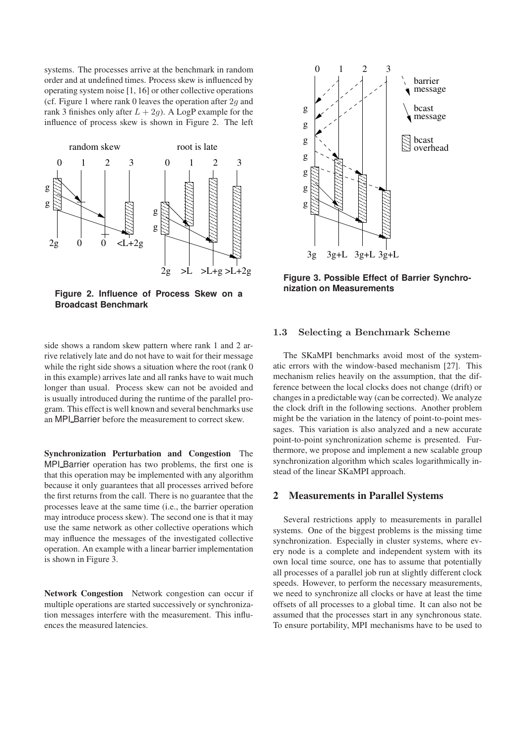systems. The processes arrive at the benchmark in random order and at undefined times. Process skew is influenced by operating system noise [1, 16] or other collective operations (cf. Figure 1 where rank 0 leaves the operation after  $2q$  and rank 3 finishes only after  $L + 2q$ ). A LogP example for the influence of process skew is shown in Figure 2. The left



**Figure 2. Influence of Process Skew on a Broadcast Benchmark**

side shows a random skew pattern where rank 1 and 2 arrive relatively late and do not have to wait for their message while the right side shows a situation where the root (rank 0) in this example) arrives late and all ranks have to wait much longer than usual. Process skew can not be avoided and is usually introduced during the runtime of the parallel program. This effect is well known and several benchmarks use an MPI Barrier before the measurement to correct skew.

**Synchronization Perturbation and Congestion** The MPI Barrier operation has two problems, the first one is that this operation may be implemented with any algorithm because it only guarantees that all processes arrived before the first returns from the call. There is no guarantee that the processes leave at the same time (i.e., the barrier operation may introduce process skew). The second one is that it may use the same network as other collective operations which may influence the messages of the investigated collective operation. An example with a linear barrier implementation is shown in Figure 3.

**Network Congestion** Network congestion can occur if multiple operations are started successively or synchronization messages interfere with the measurement. This influences the measured latencies.



**Figure 3. Possible Effect of Barrier Synchronization on Measurements**

## 1.3 Selecting a Benchmark Scheme

The SKaMPI benchmarks avoid most of the systematic errors with the window-based mechanism [27]. This mechanism relies heavily on the assumption, that the difference between the local clocks does not change (drift) or changes in a predictable way (can be corrected). We analyze the clock drift in the following sections. Another problem might be the variation in the latency of point-to-point messages. This variation is also analyzed and a new accurate point-to-point synchronization scheme is presented. Furthermore, we propose and implement a new scalable group synchronization algorithm which scales logarithmically instead of the linear SKaMPI approach.

#### **2 Measurements in Parallel Systems**

Several restrictions apply to measurements in parallel systems. One of the biggest problems is the missing time synchronization. Especially in cluster systems, where every node is a complete and independent system with its own local time source, one has to assume that potentially all processes of a parallel job run at slightly different clock speeds. However, to perform the necessary measurements, we need to synchronize all clocks or have at least the time offsets of all processes to a global time. It can also not be assumed that the processes start in any synchronous state. To ensure portability, MPI mechanisms have to be used to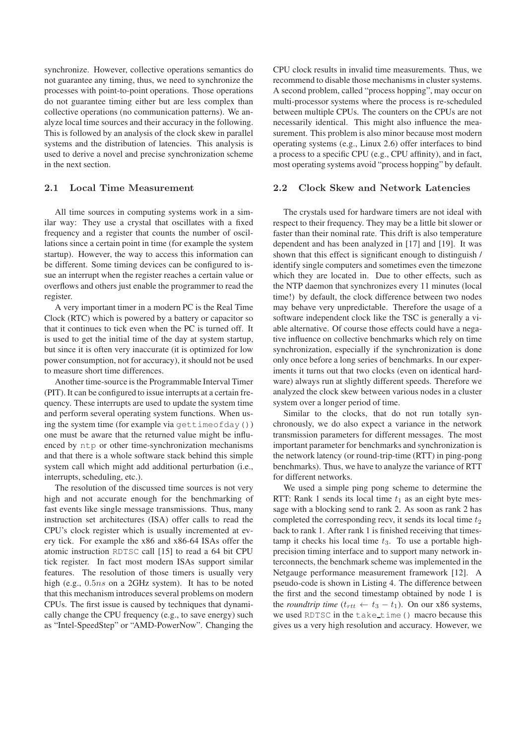synchronize. However, collective operations semantics do not guarantee any timing, thus, we need to synchronize the processes with point-to-point operations. Those operations do not guarantee timing either but are less complex than collective operations (no communication patterns). We analyze local time sources and their accuracy in the following. This is followed by an analysis of the clock skew in parallel systems and the distribution of latencies. This analysis is used to derive a novel and precise synchronization scheme in the next section.

#### 2.1 Local Time Measurement

All time sources in computing systems work in a similar way: They use a crystal that oscillates with a fixed frequency and a register that counts the number of oscillations since a certain point in time (for example the system startup). However, the way to access this information can be different. Some timing devices can be configured to issue an interrupt when the register reaches a certain value or overflows and others just enable the programmer to read the register.

A very important timer in a modern PC is the Real Time Clock (RTC) which is powered by a battery or capacitor so that it continues to tick even when the PC is turned off. It is used to get the initial time of the day at system startup, but since it is often very inaccurate (it is optimized for low power consumption, not for accuracy), it should not be used to measure short time differences.

Another time-source is the Programmable Interval Timer (PIT). It can be configured to issue interrupts at a certain frequency. These interrupts are used to update the system time and perform several operating system functions. When using the system time (for example via  $\text{qettimeofday}()$ ) one must be aware that the returned value might be influenced by ntp or other time-synchronization mechanisms and that there is a whole software stack behind this simple system call which might add additional perturbation (i.e., interrupts, scheduling, etc.).

The resolution of the discussed time sources is not very high and not accurate enough for the benchmarking of fast events like single message transmissions. Thus, many instruction set architectures (ISA) offer calls to read the CPU's clock register which is usually incremented at every tick. For example the x86 and x86-64 ISAs offer the atomic instruction RDTSC call [15] to read a 64 bit CPU tick register. In fact most modern ISAs support similar features. The resolution of those timers is usually very high (e.g., 0.5ns on a 2GHz system). It has to be noted that this mechanism introduces several problems on modern CPUs. The first issue is caused by techniques that dynamically change the CPU frequency (e.g., to save energy) such as "Intel-SpeedStep" or "AMD-PowerNow". Changing the CPU clock results in invalid time measurements. Thus, we recommend to disable those mechanisms in cluster systems. A second problem, called "process hopping", may occur on multi-processor systems where the process is re-scheduled between multiple CPUs. The counters on the CPUs are not necessarily identical. This might also influence the measurement. This problem is also minor because most modern operating systems (e.g., Linux 2.6) offer interfaces to bind a process to a specific CPU (e.g., CPU affinity), and in fact, most operating systems avoid "process hopping" by default.

#### 2.2 Clock Skew and Network Latencies

The crystals used for hardware timers are not ideal with respect to their frequency. They may be a little bit slower or faster than their nominal rate. This drift is also temperature dependent and has been analyzed in [17] and [19]. It was shown that this effect is significant enough to distinguish / identify single computers and sometimes even the timezone which they are located in. Due to other effects, such as the NTP daemon that synchronizes every 11 minutes (local time!) by default, the clock difference between two nodes may behave very unpredictable. Therefore the usage of a software independent clock like the TSC is generally a viable alternative. Of course those effects could have a negative influence on collective benchmarks which rely on time synchronization, especially if the synchronization is done only once before a long series of benchmarks. In our experiments it turns out that two clocks (even on identical hardware) always run at slightly different speeds. Therefore we analyzed the clock skew between various nodes in a cluster system over a longer period of time.

Similar to the clocks, that do not run totally synchronously, we do also expect a variance in the network transmission parameters for different messages. The most important parameter for benchmarks and synchronization is the network latency (or round-trip-time (RTT) in ping-pong benchmarks). Thus, we have to analyze the variance of RTT for different networks.

We used a simple ping pong scheme to determine the RTT: Rank 1 sends its local time  $t_1$  as an eight byte message with a blocking send to rank 2. As soon as rank 2 has completed the corresponding recv, it sends its local time  $t_2$ back to rank 1. After rank 1 is finished receiving that timestamp it checks his local time  $t_3$ . To use a portable highprecision timing interface and to support many network interconnects, the benchmark scheme was implemented in the Netgauge performance measurement framework [12]. A pseudo-code is shown in Listing 4. The difference between the first and the second timestamp obtained by node 1 is the *roundtrip time* ( $t_{rtt} \leftarrow t_3 - t_1$ ). On our x86 systems, we used RDTSC in the take time () macro because this gives us a very high resolution and accuracy. However, we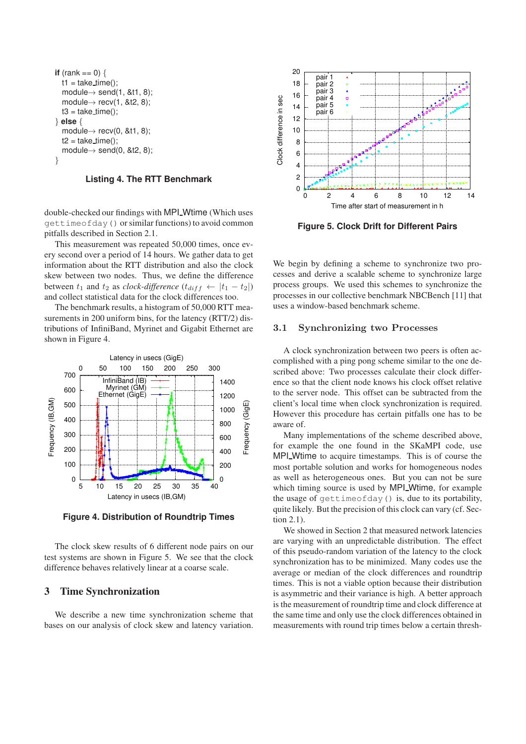```
if (rank == 0) {
  t1 = take_time();
  module \rightarrow send(1, 8t1, 8);module \rightarrow recv(1, 8t2, 8);t3 = \text{take_time});
} else {
  module \rightarrow recv(0, 8t1, 8);t2 = \text{take_time});
  module\rightarrow send(0, &t2, 8);
}
```
**Listing 4. The RTT Benchmark**

double-checked our findings with MPI\_Wtime (Which uses gettimeofday() or similar functions) to avoid common pitfalls described in Section 2.1.

This measurement was repeated 50,000 times, once every second over a period of 14 hours. We gather data to get information about the RTT distribution and also the clock skew between two nodes. Thus, we define the difference between  $t_1$  and  $t_2$  as *clock-difference* ( $t_{diff} \leftarrow |t_1 - t_2|$ ) and collect statistical data for the clock differences too.

The benchmark results, a histogram of 50,000 RTT measurements in 200 uniform bins, for the latency (RTT/2) distributions of InfiniBand, Myrinet and Gigabit Ethernet are shown in Figure 4.



**Figure 4. Distribution of Roundtrip Times**

The clock skew results of 6 different node pairs on our test systems are shown in Figure 5. We see that the clock difference behaves relatively linear at a coarse scale.

#### **3 Time Synchronization**

We describe a new time synchronization scheme that bases on our analysis of clock skew and latency variation.



**Figure 5. Clock Drift for Different Pairs**

We begin by defining a scheme to synchronize two processes and derive a scalable scheme to synchronize large process groups. We used this schemes to synchronize the processes in our collective benchmark NBCBench [11] that uses a window-based benchmark scheme.

### 3.1 Synchronizing two Processes

A clock synchronization between two peers is often accomplished with a ping pong scheme similar to the one described above: Two processes calculate their clock difference so that the client node knows his clock offset relative to the server node. This offset can be subtracted from the client's local time when clock synchronization is required. However this procedure has certain pitfalls one has to be aware of.

Many implementations of the scheme described above, for example the one found in the SKaMPI code, use MPI Wtime to acquire timestamps. This is of course the most portable solution and works for homogeneous nodes as well as heterogeneous ones. But you can not be sure which timing source is used by MPI Wtime, for example the usage of gettimeofday() is, due to its portability, quite likely. But the precision of this clock can vary (cf. Section 2.1).

We showed in Section 2 that measured network latencies are varying with an unpredictable distribution. The effect of this pseudo-random variation of the latency to the clock synchronization has to be minimized. Many codes use the average or median of the clock differences and roundtrip times. This is not a viable option because their distribution is asymmetric and their variance is high. A better approach is the measurement of roundtrip time and clock difference at the same time and only use the clock differences obtained in measurements with round trip times below a certain thresh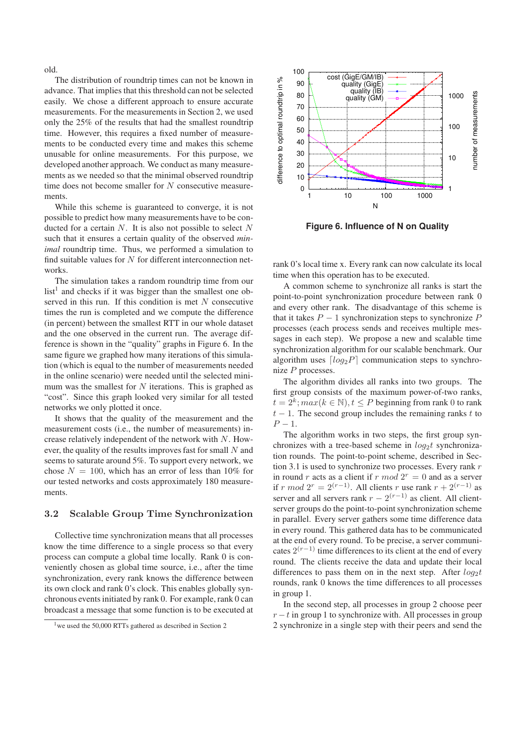old.

The distribution of roundtrip times can not be known in advance. That implies that this threshold can not be selected easily. We chose a different approach to ensure accurate measurements. For the measurements in Section 2, we used only the 25% of the results that had the smallest roundtrip time. However, this requires a fixed number of measurements to be conducted every time and makes this scheme unusable for online measurements. For this purpose, we developed another approach. We conduct as many measurements as we needed so that the minimal observed roundtrip time does not become smaller for N consecutive measurements.

While this scheme is guaranteed to converge, it is not possible to predict how many measurements have to be conducted for a certain  $N$ . It is also not possible to select  $N$ such that it ensures a certain quality of the observed *minimal* roundtrip time. Thus, we performed a simulation to find suitable values for  $N$  for different interconnection networks.

The simulation takes a random roundtrip time from our  $list<sup>1</sup>$  and checks if it was bigger than the smallest one observed in this run. If this condition is met N consecutive times the run is completed and we compute the difference (in percent) between the smallest RTT in our whole dataset and the one observed in the current run. The average difference is shown in the "quality" graphs in Figure 6. In the same figure we graphed how many iterations of this simulation (which is equal to the number of measurements needed in the online scenario) were needed until the selected minimum was the smallest for  $N$  iterations. This is graphed as "cost". Since this graph looked very similar for all tested networks we only plotted it once.

It shows that the quality of the measurement and the measurement costs (i.e., the number of measurements) increase relatively independent of the network with N. However, the quality of the results improves fast for small N and seems to saturate around 5%. To support every network, we chose  $N = 100$ , which has an error of less than 10% for our tested networks and costs approximately 180 measurements.

#### 3.2 Scalable Group Time Synchronization

Collective time synchronization means that all processes know the time difference to a single process so that every process can compute a global time locally. Rank 0 is conveniently chosen as global time source, i.e., after the time synchronization, every rank knows the difference between its own clock and rank 0's clock. This enables globally synchronous events initiated by rank 0. For example, rank 0 can broadcast a message that some function is to be executed at



**Figure 6. Influence of N on Quality**

rank 0's local time x. Every rank can now calculate its local time when this operation has to be executed.

A common scheme to synchronize all ranks is start the point-to-point synchronization procedure between rank 0 and every other rank. The disadvantage of this scheme is that it takes  $P - 1$  synchronization steps to synchronize  $P$ processes (each process sends and receives multiple messages in each step). We propose a new and scalable time synchronization algorithm for our scalable benchmark. Our algorithm uses  $\lceil log_2 P \rceil$  communication steps to synchronize P processes.

The algorithm divides all ranks into two groups. The first group consists of the maximum power-of-two ranks,  $t = 2^k$ ;  $max(k \in \mathbb{N})$ ,  $t \leq P$  beginning from rank 0 to rank  $t - 1$ . The second group includes the remaining ranks t to  $P - 1$ .

The algorithm works in two steps, the first group synchronizes with a tree-based scheme in  $log_2 t$  synchronization rounds. The point-to-point scheme, described in Section 3.1 is used to synchronize two processes. Every rank  $r$ in round r acts as a client if r  $mod 2^r = 0$  and as a server if r mod  $2^r = 2^{(r-1)}$ . All clients r use rank  $r + 2^{(r-1)}$  as server and all servers rank  $r - 2^{(r-1)}$  as client. All clientserver groups do the point-to-point synchronization scheme in parallel. Every server gathers some time difference data in every round. This gathered data has to be communicated at the end of every round. To be precise, a server communicates  $2^{(r-1)}$  time differences to its client at the end of every round. The clients receive the data and update their local differences to pass them on in the next step. After  $log_2 t$ rounds, rank 0 knows the time differences to all processes in group 1.

In the second step, all processes in group 2 choose peer  $r - t$  in group 1 to synchronize with. All processes in group 2 synchronize in a single step with their peers and send the

<sup>&</sup>lt;sup>1</sup> we used the 50,000 RTTs gathered as described in Section 2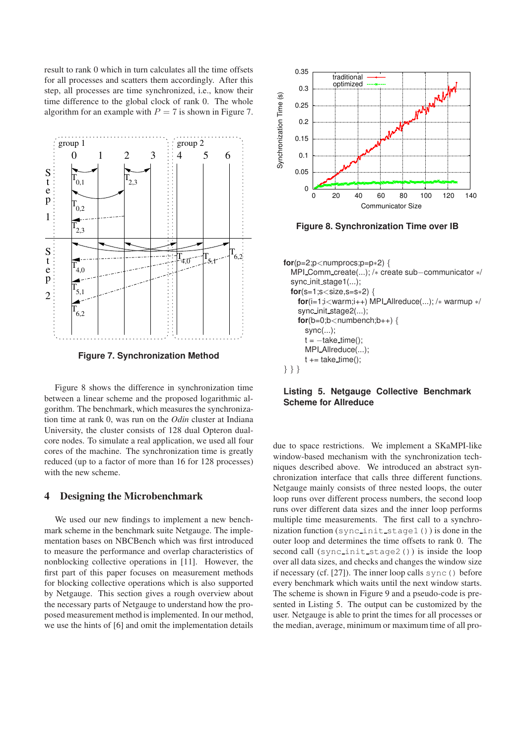result to rank 0 which in turn calculates all the time offsets for all processes and scatters them accordingly. After this step, all processes are time synchronized, i.e., know their time difference to the global clock of rank 0. The whole algorithm for an example with  $P = 7$  is shown in Figure 7.



**Figure 7. Synchronization Method**

Figure 8 shows the difference in synchronization time between a linear scheme and the proposed logarithmic algorithm. The benchmark, which measures the synchronization time at rank 0, was run on the *Odin* cluster at Indiana University, the cluster consists of 128 dual Opteron dualcore nodes. To simulate a real application, we used all four cores of the machine. The synchronization time is greatly reduced (up to a factor of more than 16 for 128 processes) with the new scheme.

# **4 Designing the Microbenchmark**

We used our new findings to implement a new benchmark scheme in the benchmark suite Netgauge. The implementation bases on NBCBench which was first introduced to measure the performance and overlap characteristics of nonblocking collective operations in [11]. However, the first part of this paper focuses on measurement methods for blocking collective operations which is also supported by Netgauge. This section gives a rough overview about the necessary parts of Netgauge to understand how the proposed measurement method is implemented. In our method, we use the hints of [6] and omit the implementation details



**Figure 8. Synchronization Time over IB**

```
for(p=2;p<numprocs;p=p∗2) {
  MPI Comm create(...); /∗ create sub−communicator ∗/
  sync init stage1(...);
  for(s=1;s<size,s=s*2) {
    for(i=1;i<warm;i++) MPI Allreduce(...); /∗ warmup ∗/
    sync init stage2(...);
    for(b=0;b<number>number,b++) {
      sync(...);
      t = -take_time;
      MPI_Allreduce(...);
      t == take_time();
} } }
```
## **Listing 5. Netgauge Collective Benchmark Scheme for Allreduce**

due to space restrictions. We implement a SKaMPI-like window-based mechanism with the synchronization techniques described above. We introduced an abstract synchronization interface that calls three different functions. Netgauge mainly consists of three nested loops, the outer loop runs over different process numbers, the second loop runs over different data sizes and the inner loop performs multiple time measurements. The first call to a synchronization function (sync\_init\_stage1()) is done in the outer loop and determines the time offsets to rank 0. The second call (sync\_init\_stage2()) is inside the loop over all data sizes, and checks and changes the window size if necessary (cf.  $[27]$ ). The inner loop calls sync() before every benchmark which waits until the next window starts. The scheme is shown in Figure 9 and a pseudo-code is presented in Listing 5. The output can be customized by the user. Netgauge is able to print the times for all processes or the median, average, minimum or maximum time of all pro-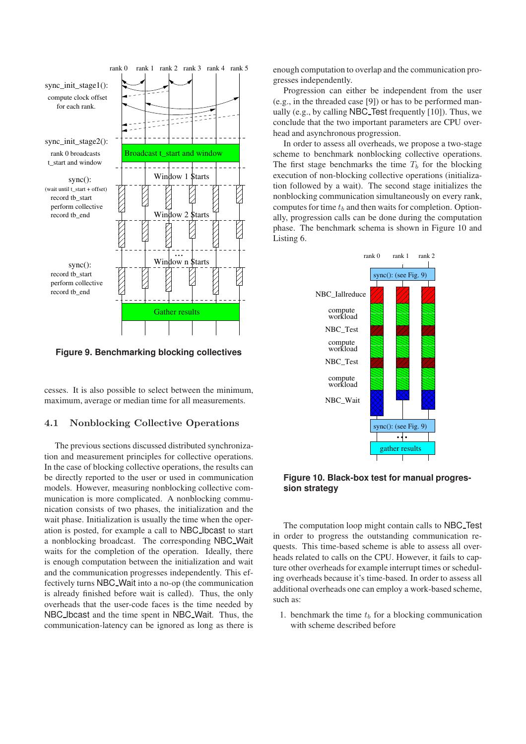

**Figure 9. Benchmarking blocking collectives**

cesses. It is also possible to select between the minimum, maximum, average or median time for all measurements.

## 4.1 Nonblocking Collective Operations

The previous sections discussed distributed synchronization and measurement principles for collective operations. In the case of blocking collective operations, the results can be directly reported to the user or used in communication models. However, measuring nonblocking collective communication is more complicated. A nonblocking communication consists of two phases, the initialization and the wait phase. Initialization is usually the time when the operation is posted, for example a call to NBC Ibcast to start a nonblocking broadcast. The corresponding NBC Wait waits for the completion of the operation. Ideally, there is enough computation between the initialization and wait and the communication progresses independently. This effectively turns NBC Wait into a no-op (the communication is already finished before wait is called). Thus, the only overheads that the user-code faces is the time needed by NBC Ibcast and the time spent in NBC Wait. Thus, the communication-latency can be ignored as long as there is enough computation to overlap and the communication progresses independently.

Progression can either be independent from the user (e.g., in the threaded case [9]) or has to be performed manually (e.g., by calling NBC Test frequently [10]). Thus, we conclude that the two important parameters are CPU overhead and asynchronous progression.

In order to assess all overheads, we propose a two-stage scheme to benchmark nonblocking collective operations. The first stage benchmarks the time  $T_b$  for the blocking execution of non-blocking collective operations (initialization followed by a wait). The second stage initializes the nonblocking communication simultaneously on every rank, computes for time  $t_b$  and then waits for completion. Optionally, progression calls can be done during the computation phase. The benchmark schema is shown in Figure 10 and Listing 6.



**Figure 10. Black-box test for manual progression strategy**

The computation loop might contain calls to NBC Test in order to progress the outstanding communication requests. This time-based scheme is able to assess all overheads related to calls on the CPU. However, it fails to capture other overheads for example interrupt times or scheduling overheads because it's time-based. In order to assess all additional overheads one can employ a work-based scheme, such as:

1. benchmark the time  $t<sub>b</sub>$  for a blocking communication with scheme described before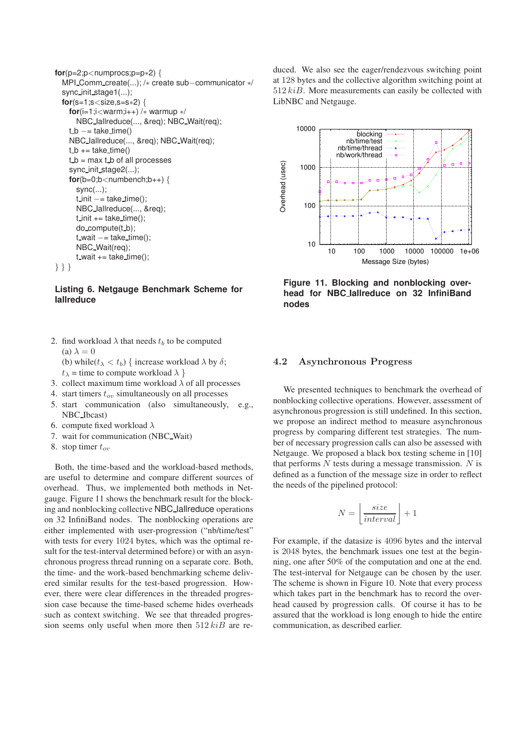```
for(p=2;p<numprocs;p=p∗2) {
 MPI_Comm_create(...); /* create sub-communicator */
 sync init stage1(...);
 for(s=1;s<size,s=s*2) {
    for(i=1;i<warm;i++) /∗ warmup ∗/
      NBC Iallreduce(..., &req); NBC Wait(req);
    t_b –= take_time()
    NBC Iallreduce(..., &req); NBC Wait(req);
    t_b += take_time()
    t_b = max t_b of all processes
    sync init stage2(...);
    for(b=0;b<number>number,b++) {
      sync(...);
      t init -= take_time();
      NBC Iallreduce(..., &req);
      t init += take time();
      do_compute(t_b);
      t-wait -= take_time();
      NBC Wait(req);
      t wait += take time();
} } }
```
**Listing 6. Netgauge Benchmark Scheme for Iallreduce**

2. find workload  $\lambda$  that needs  $t_b$  to be computed (a)  $\lambda = 0$ 

(b) while( $t_{\lambda} < t_b$ ) { increase workload  $\lambda$  by  $\delta$ ;  $t_{\lambda}$  = time to compute workload  $\lambda$  }

- 3. collect maximum time workload  $\lambda$  of all processes
- 4. start timers  $t_{\alpha}$  simultaneously on all processes
- 5. start communication (also simultaneously, e.g., NBC Ibcast)
- 6. compute fixed workload  $\lambda$
- 7. wait for communication (NBC Wait)
- 8. stop timer  $t_{ov}$

Both, the time-based and the workload-based methods, are useful to determine and compare different sources of overhead. Thus, we implemented both methods in Netgauge. Figure 11 shows the benchmark result for the blocking and nonblocking collective NBC Iallreduce operations on 32 InfiniBand nodes. The nonblocking operations are either implemented with user-progression ("nb/time/test" with tests for every 1024 bytes, which was the optimal result for the test-interval determined before) or with an asynchronous progress thread running on a separate core. Both, the time- and the work-based benchmarking scheme delivered similar results for the test-based progression. However, there were clear differences in the threaded progression case because the time-based scheme hides overheads such as context switching. We see that threaded progression seems only useful when more then  $512$  kiB are reduced. We also see the eager/rendezvous switching point at 128 bytes and the collective algorithm switching point at  $512$  kiB. More measurements can easily be collected with LibNBC and Netgauge.



**Figure 11. Blocking and nonblocking overhead for NBC Iallreduce on 32 InfiniBand nodes**

#### 4.2 Asynchronous Progress

We presented techniques to benchmark the overhead of nonblocking collective operations. However, assessment of asynchronous progression is still undefined. In this section, we propose an indirect method to measure asynchronous progress by comparing different test strategies. The number of necessary progression calls can also be assessed with Netgauge. We proposed a black box testing scheme in [10] that performs  $N$  tests during a message transmission.  $N$  is defined as a function of the message size in order to reflect the needs of the pipelined protocol:

$$
N = \left\lfloor \frac{size}{interval} \right\rfloor + 1
$$

For example, if the datasize is 4096 bytes and the interval is 2048 bytes, the benchmark issues one test at the beginning, one after 50% of the computation and one at the end. The test-interval for Netgauge can be chosen by the user. The scheme is shown in Figure 10. Note that every process which takes part in the benchmark has to record the overhead caused by progression calls. Of course it has to be assured that the workload is long enough to hide the entire communication, as described earlier.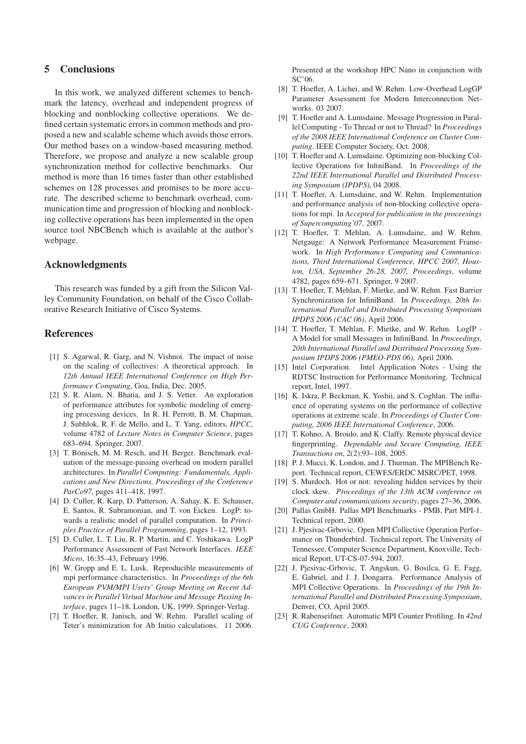#### **5 Conclusions**

In this work, we analyzed different schemes to benchmark the latency, overhead and independent progress of blocking and nonblocking collective operations. We defined certain systematic errors in common methods and proposed a new and scalable scheme which avoids those errors. Our method bases on a window-based measuring method. Therefore, we propose and analyze a new scalable group synchronization method for collective benchmarks. Our method is more than 16 times faster than other established schemes on 128 processes and promises to be more accurate. The described scheme to benchmark overhead, communication time and progression of blocking and nonblocking collective operations has been implemented in the open source tool NBCBench which is available at the author's webpage.

#### **Acknowledgments**

This research was funded by a gift from the Silicon Valley Community Foundation, on behalf of the Cisco Collaborative Research Initiative of Cisco Systems.

#### **References**

- [1] S. Agarwal, R. Garg, and N. Vishnoi. The impact of noise on the scaling of collectives: A theoretical approach. In *12th Annual IEEE International Conference on High Performance Computing*, Goa, India, Dec. 2005.
- [2] S. R. Alam, N. Bhatia, and J. S. Vetter. An exploration of performance attributes for symbolic modeling of emerging processing devices. In R. H. Perrott, B. M. Chapman, J. Subhlok, R. F. de Mello, and L. T. Yang, editors, *HPCC*, volume 4782 of *Lecture Notes in Computer Science*, pages 683–694. Springer, 2007.
- [3] T. Bönisch, M. M. Resch, and H. Berger. Benchmark evaluation of the message-passing overhead on modern parallel architectures. In *Parallel Computing: Fundamentals, Applications and New Directions, Proceedings of the Conference ParCo97*, pages 411–418, 1997.
- [4] D. Culler, R. Karp, D. Patterson, A. Sahay, K. E. Schauser, E. Santos, R. Subramonian, and T. von Eicken. LogP: towards a realistic model of parallel computation. In *Principles Practice of Parallel Programming*, pages 1–12, 1993.
- [5] D. Culler, L. T. Liu, R. P. Martin, and C. Yoshikawa. LogP Performance Assessment of Fast Network Interfaces. *IEEE Micro*, 16:35–43, February 1996.
- [6] W. Gropp and E. L. Lusk. Reproducible measurements of mpi performance characteristics. In *Proceedings of the 6th European PVM/MPI Users' Group Meeting on Recent Advances in Parallel Virtual Machine and Message Passing Interface*, pages 11–18, London, UK, 1999. Springer-Verlag.
- [7] T. Hoefler, R. Janisch, and W. Rehm. Parallel scaling of Teter's minimization for Ab Initio calculations. 11 2006.

Presented at the workshop HPC Nano in conjunction with  $SC'06$ 

- [8] T. Hoefler, A. Lichei, and W. Rehm. Low-Overhead LogGP Parameter Assessment for Modern Interconnection Networks. 03 2007.
- [9] T. Hoefler and A. Lumsdaine. Message Progression in Parallel Computing - To Thread or not to Thread? In *Proceedings of the 2008 IEEE International Conference on Cluster Computing*. IEEE Computer Society, Oct. 2008.
- [10] T. Hoefler and A. Lumsdaine. Optimizing non-blocking Collective Operations for InfiniBand. In *Proceedings of the 22nd IEEE International Parallel and Distributed Processing Symposium (IPDPS)*, 04 2008.
- [11] T. Hoefler, A. Lumsdaine, and W. Rehm. Implementation and performance analysis of non-blocking collective operations for mpi. In *Accepted for publication in the proceesings of Supercomputing'07*, 2007.
- [12] T. Hoefler, T. Mehlan, A. Lumsdaine, and W. Rehm. Netgauge: A Network Performance Measurement Framework. In *High Performance Computing and Communications, Third International Conference, HPCC 2007, Houston, USA, September 26-28, 2007, Proceedings*, volume 4782, pages 659–671. Springer, 9 2007.
- [13] T. Hoefler, T. Mehlan, F. Mietke, and W. Rehm. Fast Barrier Synchronization for InfiniBand. In *Proceedings, 20th International Parallel and Distributed Processing Symposium IPDPS 2006 (CAC 06)*, April 2006.
- [14] T. Hoefler, T. Mehlan, F. Mietke, and W. Rehm. LogfP A Model for small Messages in InfiniBand. In *Proceedings, 20th International Parallel and Distributed Processing Symposium IPDPS 2006 (PMEO-PDS 06)*, April 2006.
- [15] Intel Corporation. Intel Application Notes Using the RDTSC Instruction for Performance Monitoring. Technical report, Intel, 1997.
- [16] K. Iskra, P. Beckman, K. Yoshii, and S. Coghlan. The influence of operating systems on the performance of collective operations at extreme scale. In *Proceedings of Cluster Computing, 2006 IEEE International Conference*, 2006.
- [17] T. Kohno, A. Broido, and K. Claffy. Remote physical device fingerprinting. *Dependable and Secure Computing, IEEE Transactions on*, 2(2):93–108, 2005.
- [18] P. J. Mucci, K. London, and J. Thurman. The MPIBench Report. Technical report, CEWES/ERDC MSRC/PET, 1998.
- [19] S. Murdoch. Hot or not: revealing hidden services by their clock skew. *Proceedings of the 13th ACM conference on Computer and communications security*, pages 27–36, 2006.
- [20] Pallas GmbH. Pallas MPI Benchmarks PMB, Part MPI-1. Technical report, 2000.
- [21] J. Pjesivac-Grbovic. Open MPI Collective Operation Performance on Thunderbird. Technical report, The University of Tennessee, Computer Science Department, Knoxville, Technical Report, UT-CS-07-594, 2007.
- [22] J. Pjesivac-Grbovic, T. Angskun, G. Bosilca, G. E. Fagg, E. Gabriel, and J. J. Dongarra. Performance Analysis of MPI Collective Operations. In *Proceedings of the 19th International Parallel and Distributed Processing Symposium*, Denver, CO, April 2005.
- [23] R. Rabenseifner. Automatic MPI Counter Profiling. In *42nd CUG Conference*, 2000.